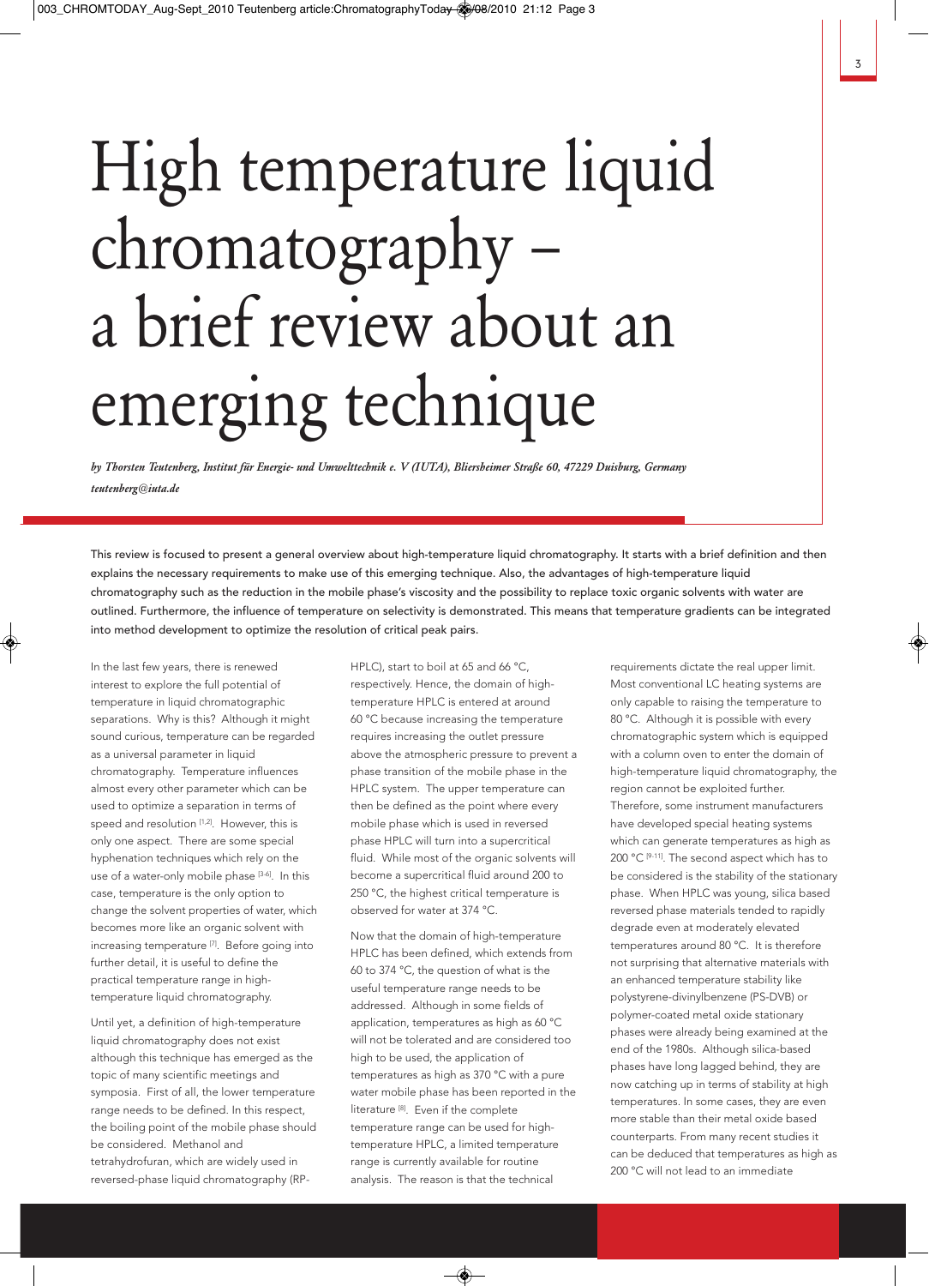# High temperature liquid chromatography – a brief review about an emerging technique

*by Thorsten Teutenberg, Institut für Energie- und Umwelttechnik e. V (IUTA), Bliersheimer Straße 60, 47229 Duisburg, Germany teutenberg@iuta.de* 

This review is focused to present a general overview about high-temperature liquid chromatography. It starts with a brief definition and then explains the necessary requirements to make use of this emerging technique. Also, the advantages of high-temperature liquid chromatography such as the reduction in the mobile phase's viscosity and the possibility to replace toxic organic solvents with water are outlined. Furthermore, the influence of temperature on selectivity is demonstrated. This means that temperature gradients can be integrated into method development to optimize the resolution of critical peak pairs.

In the last few years, there is renewed interest to explore the full potential of temperature in liquid chromatographic separations. Why is this? Although it might sound curious, temperature can be regarded as a universal parameter in liquid chromatography. Temperature influences almost every other parameter which can be used to optimize a separation in terms of speed and resolution [1,2]. However, this is only one aspect. There are some special hyphenation techniques which rely on the use of a water-only mobile phase [3-6]. In this case, temperature is the only option to change the solvent properties of water, which becomes more like an organic solvent with increasing temperature <a>[7]</a>. Before going into further detail, it is useful to define the practical temperature range in hightemperature liquid chromatography.

Until yet, a definition of high-temperature liquid chromatography does not exist although this technique has emerged as the topic of many scientific meetings and symposia. First of all, the lower temperature range needs to be defined. In this respect, the boiling point of the mobile phase should be considered. Methanol and tetrahydrofuran, which are widely used in reversed-phase liquid chromatography (RP-

HPLC), start to boil at 65 and 66 °C, respectively. Hence, the domain of hightemperature HPLC is entered at around 60 °C because increasing the temperature requires increasing the outlet pressure above the atmospheric pressure to prevent a phase transition of the mobile phase in the HPLC system. The upper temperature can then be defined as the point where every mobile phase which is used in reversed phase HPLC will turn into a supercritical fluid. While most of the organic solvents will become a supercritical fluid around 200 to 250 °C, the highest critical temperature is observed for water at 374 °C.

Now that the domain of high-temperature HPLC has been defined, which extends from 60 to 374 °C, the question of what is the useful temperature range needs to be addressed. Although in some fields of application, temperatures as high as 60 °C will not be tolerated and are considered too high to be used, the application of temperatures as high as 370 °C with a pure water mobile phase has been reported in the literature [8]. Even if the complete temperature range can be used for hightemperature HPLC, a limited temperature range is currently available for routine analysis. The reason is that the technical

requirements dictate the real upper limit. Most conventional LC heating systems are only capable to raising the temperature to 80 °C. Although it is possible with every chromatographic system which is equipped with a column oven to enter the domain of high-temperature liquid chromatography, the region cannot be exploited further. Therefore, some instrument manufacturers have developed special heating systems which can generate temperatures as high as 200 °C [9-11]. The second aspect which has to be considered is the stability of the stationary phase. When HPLC was young, silica based reversed phase materials tended to rapidly degrade even at moderately elevated temperatures around 80 °C. It is therefore not surprising that alternative materials with an enhanced temperature stability like polystyrene-divinylbenzene (PS-DVB) or polymer-coated metal oxide stationary phases were already being examined at the end of the 1980s. Although silica-based phases have long lagged behind, they are now catching up in terms of stability at high temperatures. In some cases, they are even more stable than their metal oxide based counterparts. From many recent studies it can be deduced that temperatures as high as 200 °C will not lead to an immediate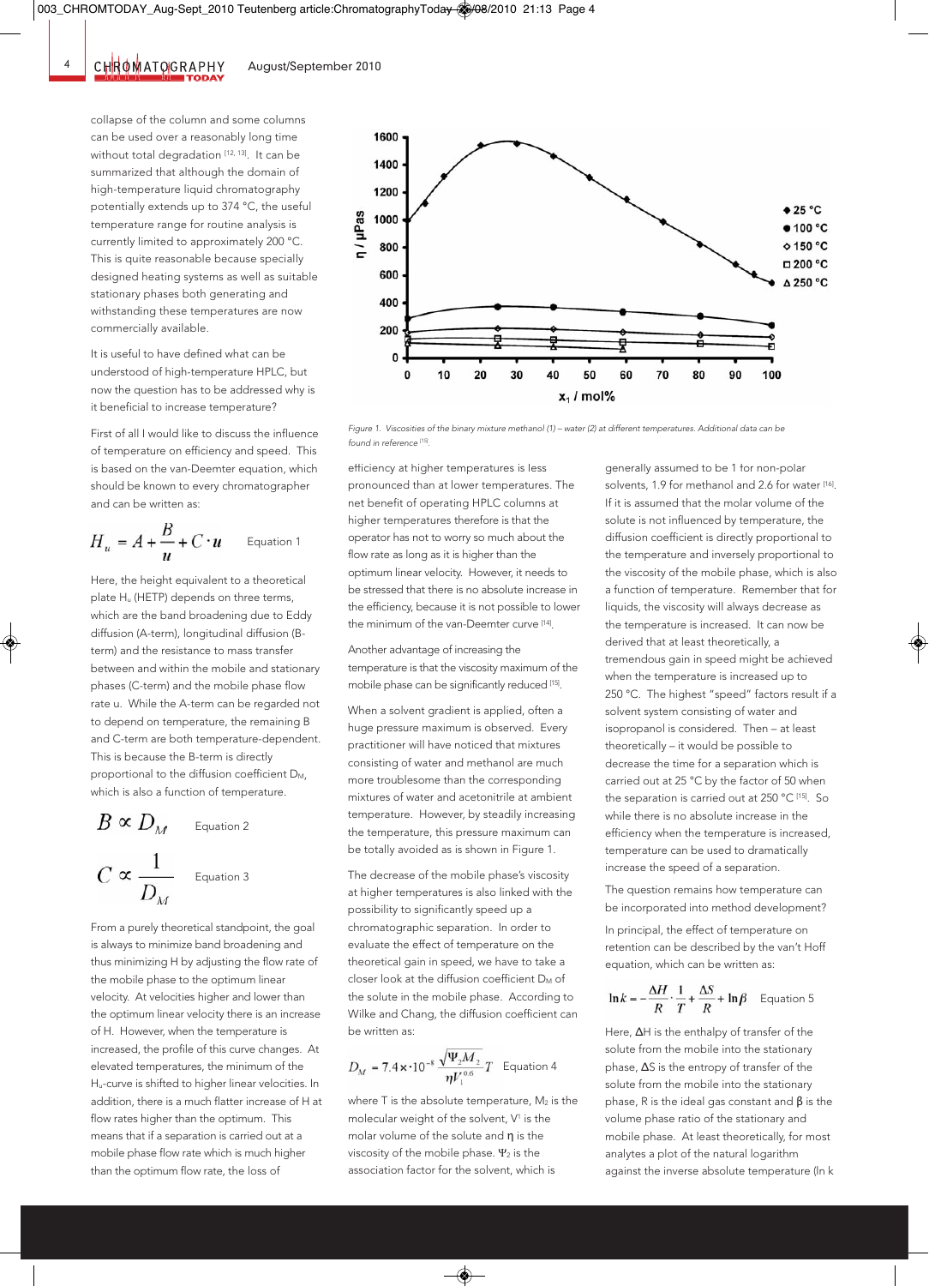collapse of the column and some columns can be used over a reasonably long time without total degradation [12, 13]. It can be summarized that although the domain of high-temperature liquid chromatography potentially extends up to 374 °C, the useful temperature range for routine analysis is currently limited to approximately 200 °C. This is quite reasonable because specially designed heating systems as well as suitable stationary phases both generating and withstanding these temperatures are now commercially available.

It is useful to have defined what can be understood of high-temperature HPLC, but now the question has to be addressed why is it beneficial to increase temperature?

First of all I would like to discuss the influence of temperature on efficiency and speed. This is based on the van-Deemter equation, which should be known to every chromatographer and can be written as:

$$
H_u = A + \frac{B}{u} + C \cdot u \qquad \text{Equation 1}
$$

Here, the height equivalent to a theoretical plate Hu (HETP) depends on three terms, which are the band broadening due to Eddy diffusion (A-term), longitudinal diffusion (Bterm) and the resistance to mass transfer between and within the mobile and stationary phases (C-term) and the mobile phase flow rate u. While the A-term can be regarded not to depend on temperature, the remaining B and C-term are both temperature-dependent. This is because the B-term is directly proportional to the diffusion coefficient D<sub>M</sub>, which is also a function of temperature.

$$
B \propto D_M
$$
 Equation 2  

$$
C \propto \frac{1}{D_M}
$$
 Equation 3

From a purely theoretical standpoint, the goal is always to minimize band broadening and thus minimizing H by adjusting the flow rate of the mobile phase to the optimum linear velocity. At velocities higher and lower than the optimum linear velocity there is an increase of H. However, when the temperature is increased, the profile of this curve changes. At elevated temperatures, the minimum of the Hu-curve is shifted to higher linear velocities. In addition, there is a much flatter increase of H at flow rates higher than the optimum. This means that if a separation is carried out at a mobile phase flow rate which is much higher than the optimum flow rate, the loss of



*Figure 1. Viscosities of the binary mixture methanol (1) – water (2) at different temperatures. Additional data can be found in reference [15].*

efficiency at higher temperatures is less pronounced than at lower temperatures. The net benefit of operating HPLC columns at higher temperatures therefore is that the operator has not to worry so much about the flow rate as long as it is higher than the optimum linear velocity. However, it needs to be stressed that there is no absolute increase in the efficiency, because it is not possible to lower the minimum of the van-Deemter curve [14].

Another advantage of increasing the temperature is that the viscosity maximum of the mobile phase can be significantly reduced [15].

When a solvent gradient is applied, often a huge pressure maximum is observed. Every practitioner will have noticed that mixtures consisting of water and methanol are much more troublesome than the corresponding mixtures of water and acetonitrile at ambient temperature. However, by steadily increasing the temperature, this pressure maximum can be totally avoided as is shown in Figure 1.

The decrease of the mobile phase's viscosity at higher temperatures is also linked with the possibility to significantly speed up a chromatographic separation. In order to evaluate the effect of temperature on the theoretical gain in speed, we have to take a closer look at the diffusion coefficient  $D_M$  of the solute in the mobile phase. According to Wilke and Chang, the diffusion coefficient can be written as:

$$
D_M = 7.4 \times 10^{-8} \frac{\sqrt{\Psi_2 M_2}}{\eta V_1^{0.6}} T
$$
 Equation 4

where  $T$  is the absolute temperature,  $M_2$  is the molecular weight of the solvent. V<sup>1</sup> is the molar volume of the solute and n is the viscosity of the mobile phase.  $\Psi_2$  is the association factor for the solvent, which is

generally assumed to be 1 for non-polar solvents, 1.9 for methanol and 2.6 for water [16]. If it is assumed that the molar volume of the solute is not influenced by temperature, the diffusion coefficient is directly proportional to the temperature and inversely proportional to the viscosity of the mobile phase, which is also a function of temperature. Remember that for liquids, the viscosity will always decrease as the temperature is increased. It can now be derived that at least theoretically, a tremendous gain in speed might be achieved when the temperature is increased up to 250 °C. The highest "speed" factors result if a solvent system consisting of water and isopropanol is considered. Then – at least theoretically – it would be possible to decrease the time for a separation which is carried out at 25 °C by the factor of 50 when the separation is carried out at 250 °C [15]. So while there is no absolute increase in the efficiency when the temperature is increased, temperature can be used to dramatically increase the speed of a separation.

The question remains how temperature can be incorporated into method development?

In principal, the effect of temperature on retention can be described by the van't Hoff equation, which can be written as:

$$
\ln k = -\frac{\Delta H}{R} \cdot \frac{1}{T} + \frac{\Delta S}{R} + \ln \beta \quad \text{Equation 5}
$$

Here, ΔH is the enthalpy of transfer of the solute from the mobile into the stationary phase, ΔS is the entropy of transfer of the solute from the mobile into the stationary phase, R is the ideal gas constant and  $\beta$  is the volume phase ratio of the stationary and mobile phase. At least theoretically, for most analytes a plot of the natural logarithm against the inverse absolute temperature (ln k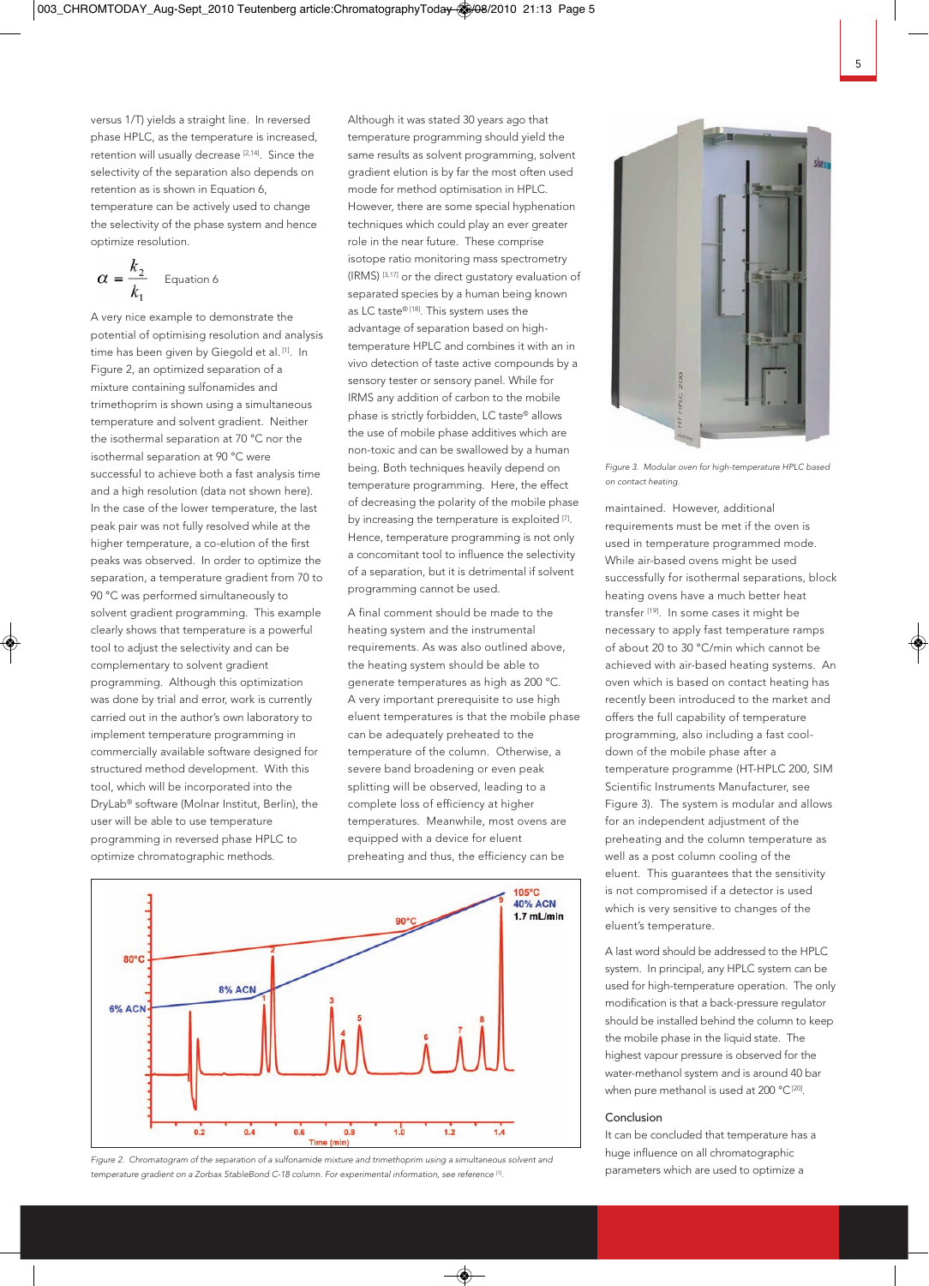versus 1/T) yields a straight line. In reversed phase HPLC, as the temperature is increased, retention will usually decrease [2,14]. Since the selectivity of the separation also depends on retention as is shown in Equation 6, temperature can be actively used to change the selectivity of the phase system and hence optimize resolution.

$$
\alpha = \frac{k_2}{k_1} \qquad \text{Equation 6}
$$

A very nice example to demonstrate the potential of optimising resolution and analysis time has been given by Giegold et al. [1]. In Figure 2, an optimized separation of a mixture containing sulfonamides and trimethoprim is shown using a simultaneous temperature and solvent gradient. Neither the isothermal separation at 70 °C nor the isothermal separation at 90 °C were successful to achieve both a fast analysis time and a high resolution (data not shown here). In the case of the lower temperature, the last peak pair was not fully resolved while at the higher temperature, a co-elution of the first peaks was observed. In order to optimize the separation, a temperature gradient from 70 to 90 °C was performed simultaneously to solvent gradient programming. This example clearly shows that temperature is a powerful tool to adjust the selectivity and can be complementary to solvent gradient programming. Although this optimization was done by trial and error, work is currently carried out in the author's own laboratory to implement temperature programming in commercially available software designed for structured method development. With this tool, which will be incorporated into the DryLab® software (Molnar Institut, Berlin), the user will be able to use temperature programming in reversed phase HPLC to optimize chromatographic methods.

Although it was stated 30 years ago that temperature programming should yield the same results as solvent programming, solvent gradient elution is by far the most often used mode for method optimisation in HPLC. However, there are some special hyphenation techniques which could play an ever greater role in the near future. These comprise isotope ratio monitoring mass spectrometry (IRMS) [3,17] or the direct gustatory evaluation of separated species by a human being known as LC taste® [18]. This system uses the advantage of separation based on hightemperature HPLC and combines it with an in vivo detection of taste active compounds by a sensory tester or sensory panel. While for IRMS any addition of carbon to the mobile phase is strictly forbidden, LC taste® allows the use of mobile phase additives which are non-toxic and can be swallowed by a human being. Both techniques heavily depend on temperature programming. Here, the effect of decreasing the polarity of the mobile phase by increasing the temperature is exploited  $[7]$ . Hence, temperature programming is not only a concomitant tool to influence the selectivity of a separation, but it is detrimental if solvent programming cannot be used.

A final comment should be made to the heating system and the instrumental requirements. As was also outlined above, the heating system should be able to generate temperatures as high as 200 °C. A very important prerequisite to use high eluent temperatures is that the mobile phase can be adequately preheated to the temperature of the column. Otherwise, a severe band broadening or even peak splitting will be observed, leading to a complete loss of efficiency at higher temperatures. Meanwhile, most ovens are equipped with a device for eluent preheating and thus, the efficiency can be



*Figure 2. Chromatogram of the separation of a sulfonamide mixture and trimethoprim using a simultaneous solvent and temperature gradient on a Zorbax StableBond C-18 column. For experimental information, see reference [1].*



*Figure 3. Modular oven for high-temperature HPLC based on contact heating.*

maintained. However, additional requirements must be met if the oven is used in temperature programmed mode. While air-based ovens might be used successfully for isothermal separations, block heating ovens have a much better heat transfer [19]. In some cases it might be necessary to apply fast temperature ramps of about 20 to 30 °C/min which cannot be achieved with air-based heating systems. An oven which is based on contact heating has recently been introduced to the market and offers the full capability of temperature programming, also including a fast cooldown of the mobile phase after a temperature programme (HT-HPLC 200, SIM Scientific Instruments Manufacturer, see Figure 3). The system is modular and allows for an independent adjustment of the preheating and the column temperature as well as a post column cooling of the eluent. This guarantees that the sensitivity is not compromised if a detector is used which is very sensitive to changes of the eluent's temperature.

A last word should be addressed to the HPLC system. In principal, any HPLC system can be used for high-temperature operation. The only modification is that a back-pressure regulator should be installed behind the column to keep the mobile phase in the liquid state. The highest vapour pressure is observed for the water-methanol system and is around 40 bar when pure methanol is used at 200 °C<sup>[20]</sup>.

#### Conclusion

It can be concluded that temperature has a huge influence on all chromatographic parameters which are used to optimize a